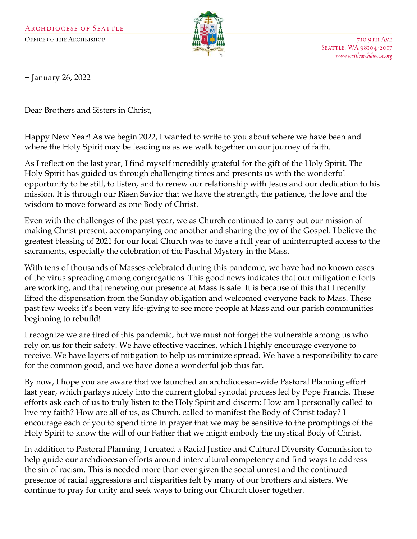

710 9TH AVE SEATTLE, WA 98104-2017 www.seattlearchdiocese.org

+ January 26, 2022

Dear Brothers and Sisters in Christ,

Happy New Year! As we begin 2022, I wanted to write to you about where we have been and where the Holy Spirit may be leading us as we walk together on our journey of faith.

As I reflect on the last year, I find myself incredibly grateful for the gift of the Holy Spirit. The Holy Spirit has guided us through challenging times and presents us with the wonderful opportunity to be still, to listen, and to renew our relationship with Jesus and our dedication to his mission. It is through our Risen Savior that we have the strength, the patience, the love and the wisdom to move forward as one Body of Christ.

Even with the challenges of the past year, we as Church continued to carry out our mission of making Christ present, accompanying one another and sharing the joy of the Gospel. I believe the greatest blessing of 2021 for our local Church was to have a full year of uninterrupted access to the sacraments, especially the celebration of the Paschal Mystery in the Mass.

With tens of thousands of Masses celebrated during this pandemic, we have had no known cases of the virus spreading among congregations. This good news indicates that our mitigation efforts are working, and that renewing our presence at Mass is safe. It is because of this that I recently lifted the dispensation from the Sunday obligation and welcomed everyone back to Mass. These past few weeks it's been very life-giving to see more people at Mass and our parish communities beginning to rebuild!

I recognize we are tired of this pandemic, but we must not forget the vulnerable among us who rely on us for their safety. We have effective vaccines, which I highly encourage everyone to receive. We have layers of mitigation to help us minimize spread. We have a responsibility to care for the common good, and we have done a wonderful job thus far.

By now, I hope you are aware that we launched an archdiocesan-wide Pastoral Planning effort last year, which parlays nicely into the current global synodal process led by Pope Francis. These efforts ask each of us to truly listen to the Holy Spirit and discern: How am I personally called to live my faith? How are all of us, as Church, called to manifest the Body of Christ today? I encourage each of you to spend time in prayer that we may be sensitive to the promptings of the Holy Spirit to know the will of our Father that we might embody the mystical Body of Christ.

In addition to Pastoral Planning, I created a Racial Justice and Cultural Diversity Commission to help guide our archdiocesan efforts around intercultural competency and find ways to address the sin of racism. This is needed more than ever given the social unrest and the continued presence of racial aggressions and disparities felt by many of our brothers and sisters. We continue to pray for unity and seek ways to bring our Church closer together.